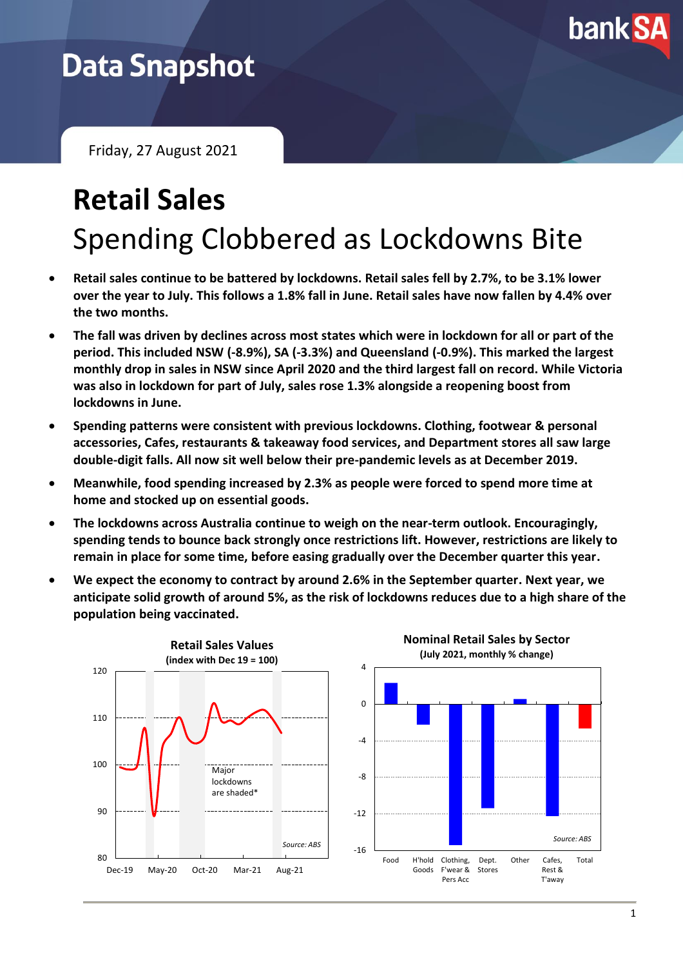

# **Data Snapshot**

Friday, 27 August 2021

# **Retail Sales** Spending Clobbered as Lockdowns Bite

- **Retail sales continue to be battered by lockdowns. Retail sales fell by 2.7%, to be 3.1% lower over the year to July. This follows a 1.8% fall in June. Retail sales have now fallen by 4.4% over the two months.**
- **The fall was driven by declines across most states which were in lockdown for all or part of the period. This included NSW (-8.9%), SA (-3.3%) and Queensland (-0.9%). This marked the largest monthly drop in sales in NSW since April 2020 and the third largest fall on record. While Victoria was also in lockdown for part of July, sales rose 1.3% alongside a reopening boost from lockdowns in June.**
- **Spending patterns were consistent with previous lockdowns. Clothing, footwear & personal accessories, Cafes, restaurants & takeaway food services, and Department stores all saw large double-digit falls. All now sit well below their pre-pandemic levels as at December 2019.**
- **Meanwhile, food spending increased by 2.3% as people were forced to spend more time at home and stocked up on essential goods.**
- **The lockdowns across Australia continue to weigh on the near-term outlook. Encouragingly, spending tends to bounce back strongly once restrictions lift. However, restrictions are likely to remain in place for some time, before easing gradually over the December quarter this year.**
- **We expect the economy to contract by around 2.6% in the September quarter. Next year, we anticipate solid growth of around 5%, as the risk of lockdowns reduces due to a high share of the population being vaccinated.**

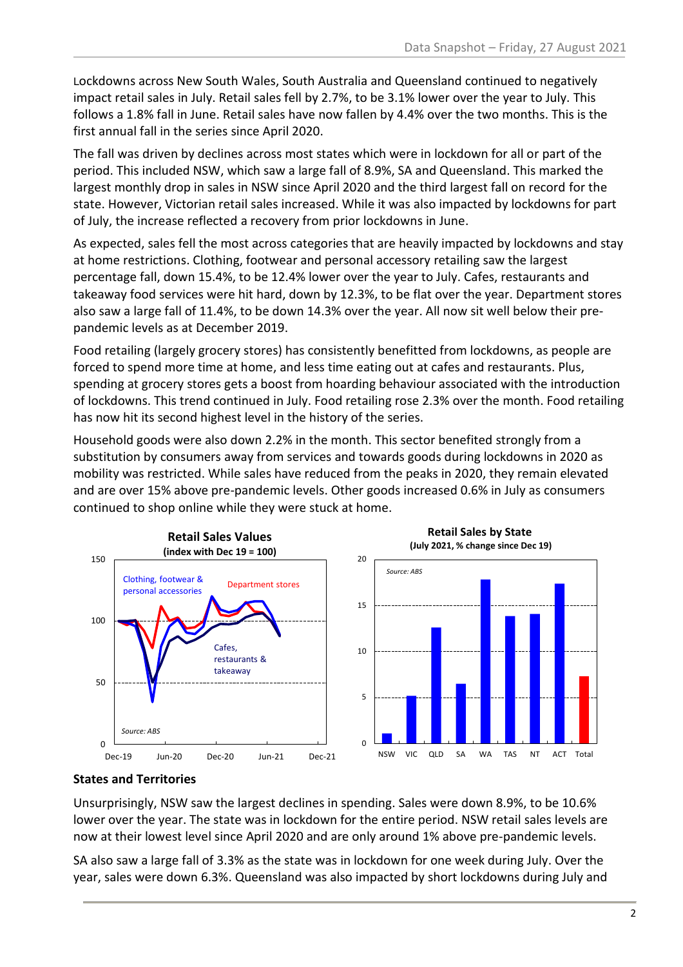Lockdowns across New South Wales, South Australia and Queensland continued to negatively impact retail sales in July. Retail sales fell by 2.7%, to be 3.1% lower over the year to July. This follows a 1.8% fall in June. Retail sales have now fallen by 4.4% over the two months. This is the first annual fall in the series since April 2020.

The fall was driven by declines across most states which were in lockdown for all or part of the period. This included NSW, which saw a large fall of 8.9%, SA and Queensland. This marked the largest monthly drop in sales in NSW since April 2020 and the third largest fall on record for the state. However, Victorian retail sales increased. While it was also impacted by lockdowns for part of July, the increase reflected a recovery from prior lockdowns in June.

As expected, sales fell the most across categories that are heavily impacted by lockdowns and stay at home restrictions. Clothing, footwear and personal accessory retailing saw the largest percentage fall, down 15.4%, to be 12.4% lower over the year to July. Cafes, restaurants and takeaway food services were hit hard, down by 12.3%, to be flat over the year. Department stores also saw a large fall of 11.4%, to be down 14.3% over the year. All now sit well below their prepandemic levels as at December 2019.

Food retailing (largely grocery stores) has consistently benefitted from lockdowns, as people are forced to spend more time at home, and less time eating out at cafes and restaurants. Plus, spending at grocery stores gets a boost from hoarding behaviour associated with the introduction of lockdowns. This trend continued in July. Food retailing rose 2.3% over the month. Food retailing has now hit its second highest level in the history of the series.

Household goods were also down 2.2% in the month. This sector benefited strongly from a substitution by consumers away from services and towards goods during lockdowns in 2020 as mobility was restricted. While sales have reduced from the peaks in 2020, they remain elevated and are over 15% above pre-pandemic levels. Other goods increased 0.6% in July as consumers continued to shop online while they were stuck at home.



## **States and Territories**

Unsurprisingly, NSW saw the largest declines in spending. Sales were down 8.9%, to be 10.6% lower over the year. The state was in lockdown for the entire period. NSW retail sales levels are now at their lowest level since April 2020 and are only around 1% above pre-pandemic levels.

SA also saw a large fall of 3.3% as the state was in lockdown for one week during July. Over the year, sales were down 6.3%. Queensland was also impacted by short lockdowns during July and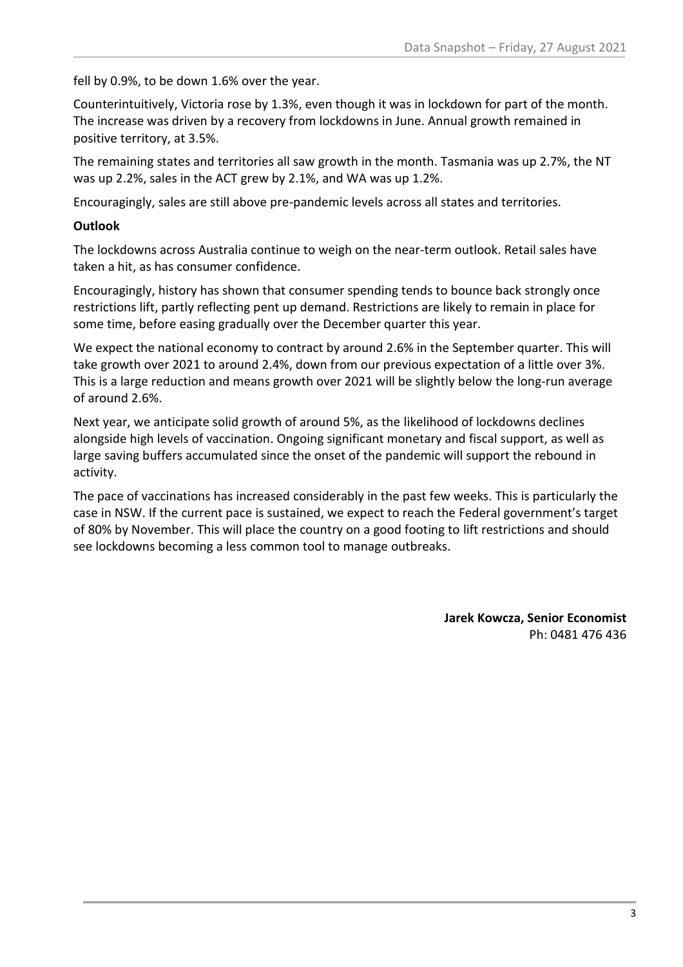fell by 0.9%, to be down 1.6% over the year.

Counterintuitively, Victoria rose by 1.3%, even though it was in lockdown for part of the month. The increase was driven by a recovery from lockdowns in June. Annual growth remained in positive territory, at 3.5%.

The remaining states and territories all saw growth in the month. Tasmania was up 2.7%, the NT was up 2.2%, sales in the ACT grew by 2.1%, and WA was up 1.2%.

Encouragingly, sales are still above pre-pandemic levels across all states and territories.

## **Outlook**

The lockdowns across Australia continue to weigh on the near-term outlook. Retail sales have taken a hit, as has consumer confidence.

Encouragingly, history has shown that consumer spending tends to bounce back strongly once restrictions lift, partly reflecting pent up demand. Restrictions are likely to remain in place for some time, before easing gradually over the December quarter this year.

We expect the national economy to contract by around 2.6% in the September quarter. This will take growth over 2021 to around 2.4%, down from our previous expectation of a little over 3%. This is a large reduction and means growth over 2021 will be slightly below the long-run average of around 2.6%.

Next year, we anticipate solid growth of around 5%, as the likelihood of lockdowns declines alongside high levels of vaccination. Ongoing significant monetary and fiscal support, as well as large saving buffers accumulated since the onset of the pandemic will support the rebound in activity.

The pace of vaccinations has increased considerably in the past few weeks. This is particularly the case in NSW. If the current pace is sustained, we expect to reach the Federal government's target of 80% by November. This will place the country on a good footing to lift restrictions and should see lockdowns becoming a less common tool to manage outbreaks.

> **Jarek Kowcza, Senior Economist** Ph: 0481 476 436